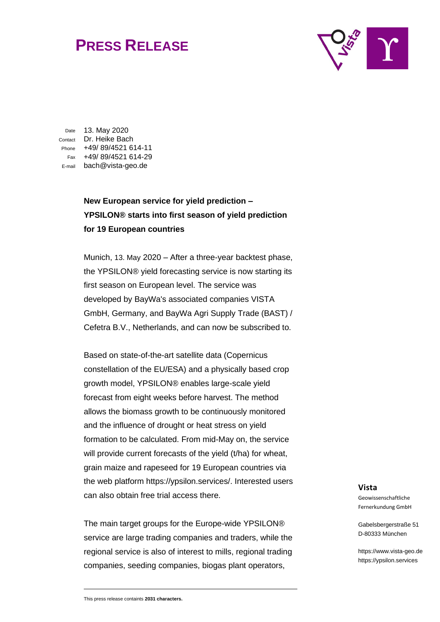## **PRESS RELEASE**



Date 13. May 2020 Contact Dr. Heike Bach Phone +49/ 89/4521 614-11 Fax +49/ 89/4521 614-29 E-mail bach@vista-geo.de

## **New European service for yield prediction – YPSILON® starts into first season of yield prediction for 19 European countries**

Munich, 13. May 2020 – After a three-year backtest phase, the YPSILON® yield forecasting service is now starting its first season on European level. The service was developed by BayWa's associated companies VISTA GmbH, Germany, and BayWa Agri Supply Trade (BAST) / Cefetra B.V., Netherlands, and can now be subscribed to.

Based on state-of-the-art satellite data (Copernicus constellation of the EU/ESA) and a physically based crop growth model, YPSILON® enables large-scale yield forecast from eight weeks before harvest. The method allows the biomass growth to be continuously monitored and the influence of drought or heat stress on yield formation to be calculated. From mid-May on, the service will provide current forecasts of the yield (t/ha) for wheat, grain maize and rapeseed for 19 European countries via the web platform https://ypsilon.services/. Interested users can also obtain free trial access there.

The main target groups for the Europe-wide YPSILON® service are large trading companies and traders, while the regional service is also of interest to mills, regional trading companies, seeding companies, biogas plant operators,

## **Vista**

Geowissenschaftliche Fernerkundung GmbH

Gabelsbergerstraße 51 D-80333 München

https://www.vista-geo.de https://ypsilon.services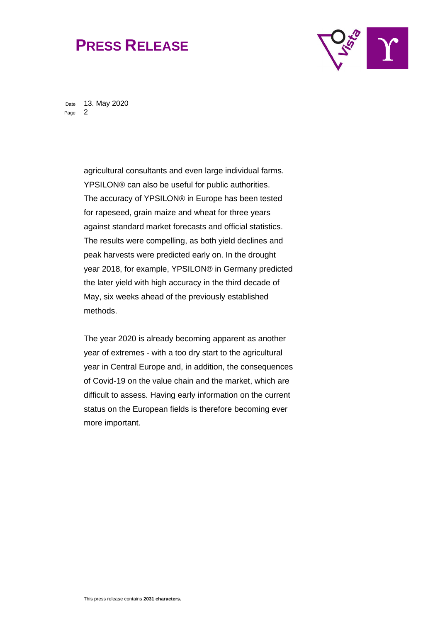## **PRESS RELEASE**



Date 13. May 2020 Page 2

> agricultural consultants and even large individual farms. YPSILON® can also be useful for public authorities. The accuracy of YPSILON® in Europe has been tested for rapeseed, grain maize and wheat for three years against standard market forecasts and official statistics. The results were compelling, as both yield declines and peak harvests were predicted early on. In the drought year 2018, for example, YPSILON® in Germany predicted the later yield with high accuracy in the third decade of May, six weeks ahead of the previously established methods.

> The year 2020 is already becoming apparent as another year of extremes - with a too dry start to the agricultural year in Central Europe and, in addition, the consequences of Covid-19 on the value chain and the market, which are difficult to assess. Having early information on the current status on the European fields is therefore becoming ever more important.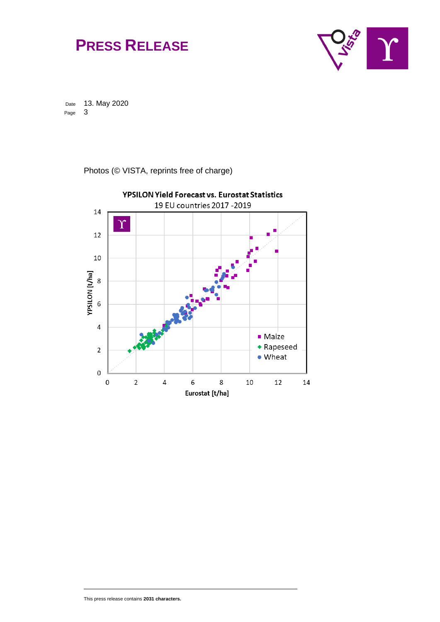



Date 13. May 2020<br>Page 3 Page

Photos (© VISTA, reprints free of charge)